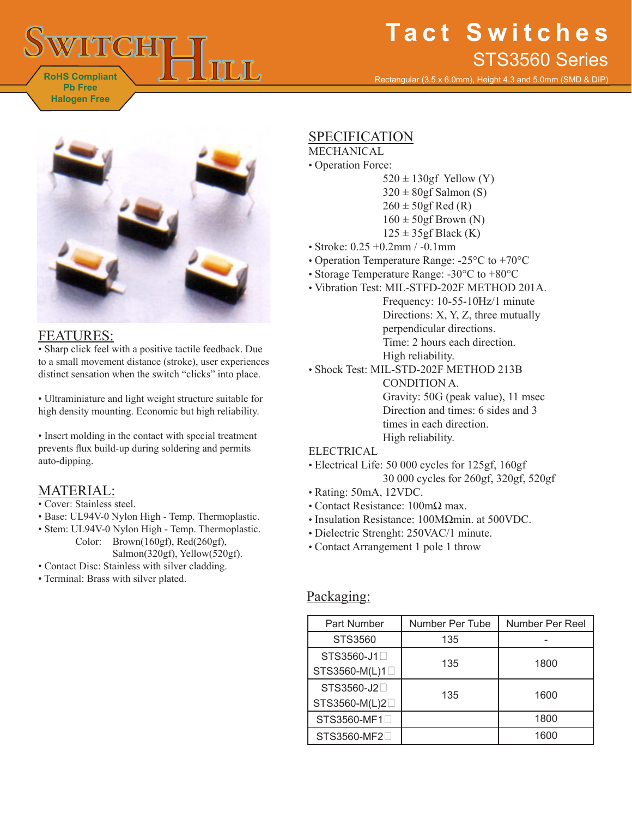# **RoHS Compliant Pb Free Halogen Free**

# **Tact Switches** STS3560 Series

Rectangular (3.5 x 6.0mm), Height 4.3 and 5.0mm (SMD & DIP)



### FEATURES:

• Sharp click feel with a positive tactile feedback. Due to a small movement distance (stroke), user experiences distinct sensation when the switch "clicks" into place.

• Ultraminiature and light weight structure suitable for high density mounting. Economic but high reliability.

• Insert molding in the contact with special treatment prevents flux build-up during soldering and permits auto-dipping.

# MATERIAL:

- Cover: Stainless steel.
- Base: UL94V-0 Nylon High Temp. Thermoplastic.
- Stem: UL94V-0 Nylon High Temp. Thermoplastic. Color: Brown(160gf), Red(260gf), Salmon(320gf), Yellow(520gf).
- Contact Disc: Stainless with silver cladding.
- Terminal: Brass with silver plated.

## SPECIFICATION

### MECHANICAL

- Operation Force:
	- $520 \pm 130$ gf Yellow (Y)
	- $320 \pm 80$ gf Salmon (S)
	- $260 \pm 50$ gf Red (R)
	- $160 \pm 50$ gf Brown (N)
	- $125 \pm 35$ gf Black (K)
- Stroke: 0.25 +0.2mm / -0.1mm
- Operation Temperature Range: -25°C to +70°C
- Storage Temperature Range: -30°C to +80°C
- Vibration Test: MIL-STFD-202F METHOD 201A.
	- Frequency: 10-55-10Hz/1 minute Directions: X, Y, Z, three mutually perpendicular directions. Time: 2 hours each direction. High reliability.
- Shock Test: MIL-STD-202F METHOD 213B CONDITION A. Gravity: 50G (peak value), 11 msec Direction and times: 6 sides and 3 times in each direction. High reliability.

### ELECTRICAL

- Electrical Life: 50 000 cycles for 125gf, 160gf 30 000 cycles for 260gf, 320gf, 520gf
- Rating: 50mA, 12VDC.
- Contact Resistance: 100mΩ max.
- Insulation Resistance: 100MΩmin. at 500VDC.
- Dielectric Strenght: 250VAC/1 minute.
- Contact Arrangement 1 pole 1 throw

### Packaging:

| Part Number                | Number Per Tube | Number Per Reel |
|----------------------------|-----------------|-----------------|
| STS3560                    | 135             |                 |
| STS3560-J1□                | 135             | 1800            |
| STS3560-M(L)1□             |                 |                 |
| STS3560-J2□                | 135             | 1600            |
| STS3560-M(L)2□             |                 |                 |
| STS3560-MF1□               |                 | 1800            |
| STS3560-MF2 <sup>[1]</sup> |                 | 1600            |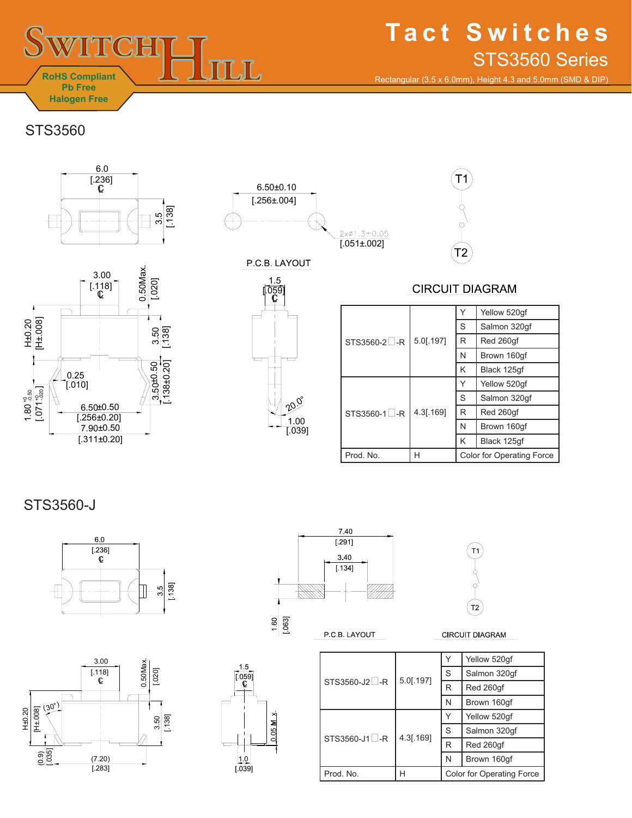

# **Tact Switches** STS3560 Series

Rectangular (3.5 x 6.0mm), Height 4.3 and 5.0mm (SMD & DIP)

STS3560







P.C.B. LAYOUT



8<br>0.05  $\frac{x}{x}$ 

 $\frac{|1.0|}{0.039}$ 

 $\overline{\phantom{a}}$ 

1.5  $\overline{\overset{05}{\mathbb{C}}}$  **CIRCUIT DIAGRAM** 

T2

 $T1$ 

|              |           |                                  | Yellow 520gf |
|--------------|-----------|----------------------------------|--------------|
| STS3560-2 -R | 5.0[.197] | S                                | Salmon 320gf |
|              |           | R                                | Red 260qf    |
|              |           | N                                | Brown 160qf  |
| STS3560-1 -R | 4.3[.169] | Κ                                | Black 125qf  |
|              |           | Υ                                | Yellow 520qf |
|              |           | S                                | Salmon 320qf |
|              |           | R                                | Red 260qf    |
|              |           | N                                | Brown 160qf  |
|              |           | K                                | Black 125qf  |
| Prod. No.    | Н         | <b>Color for Operating Force</b> |              |

STS3560-J









**CIRCUIT DIAGRAM** 

|                                                       |                        |                           | Yellow 520qf |
|-------------------------------------------------------|------------------------|---------------------------|--------------|
| STS3560-J2 <sup>L</sup> -R<br>STS3560-J1 $\square$ -R | 5.0[.197]<br>4.3[.169] | S                         | Salmon 320qf |
|                                                       |                        | R                         | Red 260qf    |
|                                                       |                        | N                         | Brown 160qf  |
|                                                       |                        |                           | Yellow 520gf |
|                                                       |                        | S                         | Salmon 320qf |
|                                                       |                        | R                         | Red 260qf    |
|                                                       |                        | N                         | Brown 160gf  |
| Prod. No.                                             | н                      | Color for Operating Force |              |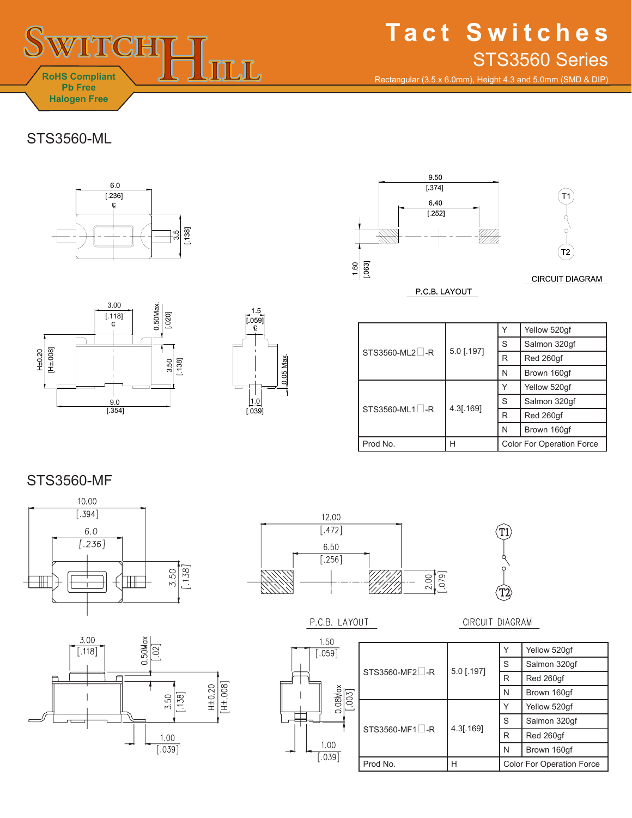

# **Tact Switches** STS3560 Series

Rectangular (3.5 x 6.0mm), Height 4.3 and 5.0mm (SMD & DIP)

## STS3560-ML









 $STS3560-ML2$ <sub>-R</sub> 5.0 [.197] Y | Yellow 520gf S | Salmon 320gf R Red 260gf N Brown 160gf  $STS3560-ML1 \Box -R$  4.3[.169] Y | Yellow 520gf S | Salmon 320gf  $R$  Red 260gf N | Brown 160gf Prod No.  $\begin{array}{|c|c|c|c|c|}\n\hline\n\end{array}$  H  $\begin{array}{|c|c|c|c|c|c|}\n\hline\n\end{array}$  Color For Operation Force

## STS3560-MF







#### P.C.B. LAYOUT





#### CIRCUIT DIAGRAM

|                |              |                                  | Yellow 520gf |
|----------------|--------------|----------------------------------|--------------|
| STS3560-MF2 -R | $5.0$ [.197] | S                                | Salmon 320qf |
|                |              | R                                | Red 260qf    |
| STS3560-MF1 -R | 4.3[.169]    | N                                | Brown 160qf  |
|                |              | Υ                                | Yellow 520qf |
|                |              | S                                | Salmon 320qf |
|                |              | R                                | Red 260qf    |
|                |              | N                                | Brown 160qf  |
| Prod No.       | Н            | <b>Color For Operation Force</b> |              |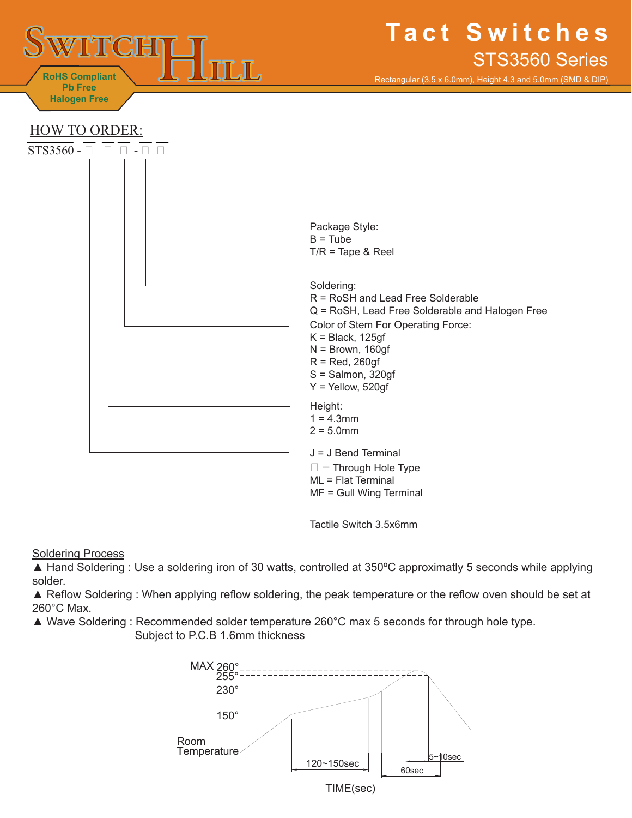

Rectangular (3.5 x 6.0mm), Height 4.3 and 5.0mm (SMD & DIP)



**Soldering Process** 

▲ Hand Soldering : Use a soldering iron of 30 watts, controlled at 350°C approximatly 5 seconds while applying solder.

▲ Reflow Soldering : When applying reflow soldering, the peak temperature or the reflow oven should be set at 260°C Max.

▲ Wave Soldering : Recommended solder temperature 260°C max 5 seconds for through hole type. Subject to P.C.B 1.6mm thickness